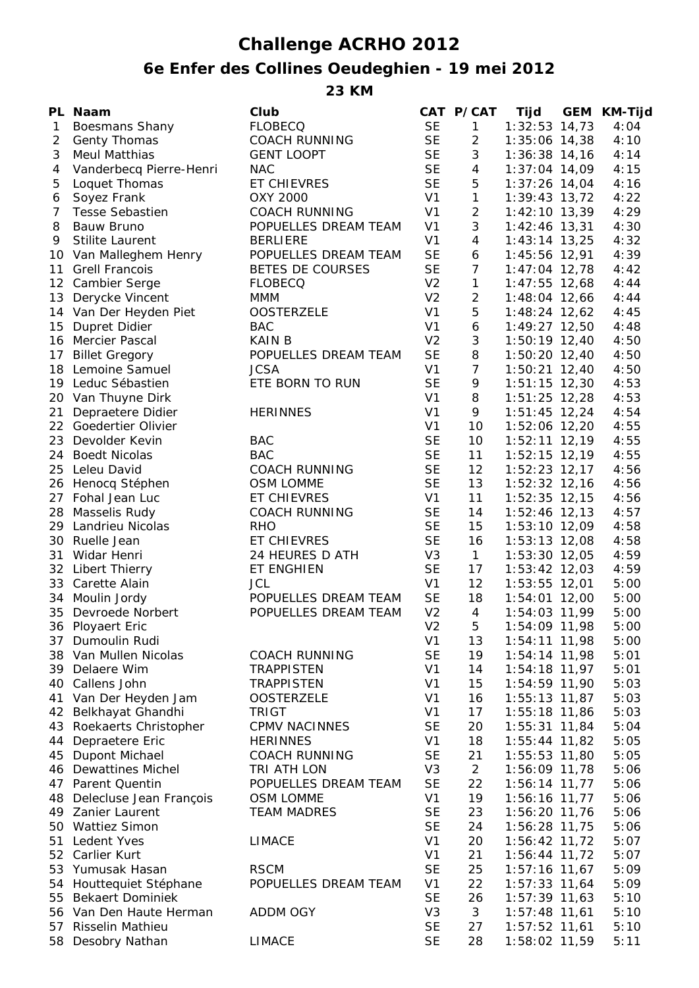## **Challenge ACRHO 2012**

## **6e Enfer des Collines Oeudeghien - 19 mei 2012**

**23 KM**

|                | PL Naam                          | Club                     |                             | CAT P/CAT        | Tijd                             | GEM KM-Tijd  |
|----------------|----------------------------------|--------------------------|-----------------------------|------------------|----------------------------------|--------------|
| $\mathbf{1}$   | <b>Boesmans Shany</b>            | <b>FLOBECQ</b>           | <b>SE</b>                   | $\mathbf{1}$     | $1:32:53$ 14,73                  | 4:04         |
| $\overline{2}$ | Genty Thomas                     | <b>COACH RUNNING</b>     | <b>SE</b>                   | $\overline{a}$   | $1:35:06$ 14,38                  | 4:10         |
| 3              | <b>Meul Matthias</b>             | <b>GENT LOOPT</b>        | <b>SE</b>                   | 3                | $1:36:38$ 14,16                  | 4:14         |
| 4              | Vanderbecq Pierre-Henri          | <b>NAC</b>               | <b>SE</b>                   | 4                | $1:37:04$ 14,09                  | 4:15         |
| 5              | Loquet Thomas                    | ET CHIEVRES              | <b>SE</b>                   | 5                | $1:37:26$ 14,04                  | 4:16         |
| 6              | Soyez Frank                      | OXY 2000                 | V <sub>1</sub>              | $\mathbf{1}$     | $1:39:43$ 13,72                  | 4:22         |
| $\overline{7}$ | <b>Tesse Sebastien</b>           | <b>COACH RUNNING</b>     | V <sub>1</sub>              | $\overline{c}$   | $1:42:10$ 13,39                  | 4:29         |
| 8              | Bauw Bruno                       | POPUELLES DREAM TEAM     | V <sub>1</sub>              | 3                | $1:42:46$ 13,31                  | 4:30         |
| 9              | <b>Stilite Laurent</b>           | <b>BERLIERE</b>          | V <sub>1</sub>              | 4                | $1:43:14$ 13,25                  | 4:32         |
|                | 10 Van Malleghem Henry           | POPUELLES DREAM TEAM     | <b>SE</b>                   | 6                | 1:45:56 12,91                    | 4:39         |
| 11             | <b>Grell Francois</b>            | BETES DE COURSES         | <b>SE</b>                   | $\overline{7}$   | $1:47:04$ 12,78                  | 4:42         |
|                | 12 Cambier Serge                 | <b>FLOBECQ</b>           | V <sub>2</sub>              | $\mathbf{1}$     | $1:47:55$ 12,68                  | 4:44         |
| 13             | Derycke Vincent                  | <b>MMM</b>               | V <sub>2</sub>              | $\overline{c}$   | 1:48:04 12,66                    | 4:44         |
|                | 14 Van Der Heyden Piet           | <b>OOSTERZELE</b>        | V <sub>1</sub>              | 5                | $1:48:24$ 12,62                  | 4:45         |
| 15             | Dupret Didier                    | <b>BAC</b>               | V <sub>1</sub>              | $\boldsymbol{6}$ | 1:49:27 12,50                    | 4:48         |
|                | 16 Mercier Pascal                | <b>KAIN B</b>            | V <sub>2</sub>              | $\sqrt{3}$       | $1:50:19$ 12,40                  | 4:50         |
| 17             | <b>Billet Gregory</b>            | POPUELLES DREAM TEAM     | <b>SE</b>                   | 8                | $1:50:20$ 12,40                  | 4:50         |
|                | 18 Lemoine Samuel                | <b>JCSA</b>              | V <sub>1</sub>              | $\overline{7}$   | $1:50:21$ 12,40                  | 4:50         |
|                | 19 Leduc Sébastien               | ETE BORN TO RUN          | <b>SE</b>                   | 9                | $1:51:15$ 12,30                  | 4:53         |
|                | 20 Van Thuyne Dirk               |                          | V <sub>1</sub>              | 8                | $1:51:25$ 12,28                  | 4:53         |
| 21             | Depraetere Didier                | <b>HERINNES</b>          | V <sub>1</sub>              | 9                | $1:51:45$ 12,24                  | 4:54         |
| 22             | Goedertier Olivier               |                          | V <sub>1</sub>              | 10               | 1:52:06 12,20                    | 4:55         |
| 23             | Devolder Kevin                   | <b>BAC</b>               | <b>SE</b>                   | 10               | $1:52:11$ 12,19                  | 4:55         |
| 24             | <b>Boedt Nicolas</b>             | <b>BAC</b>               | <b>SE</b>                   | 11               | $1:52:15$ 12,19                  | 4:55         |
| 25             | Leleu David                      | <b>COACH RUNNING</b>     | <b>SE</b>                   | 12               | $1:52:23$ 12,17                  | 4:56         |
|                | 26 Henocq Stéphen                | <b>OSM LOMME</b>         | <b>SE</b>                   | 13               | $1:52:32$ 12,16                  | 4:56         |
| 27             | Fohal Jean Luc                   | <b>ET CHIEVRES</b>       | V <sub>1</sub>              | 11               | $1:52:35$ 12,15                  | 4:56         |
|                | 28 Masselis Rudy                 | <b>COACH RUNNING</b>     | <b>SE</b>                   | 14               | $1:52:46$ 12,13                  | 4:57         |
| 29             | Landrieu Nicolas                 | <b>RHO</b>               | <b>SE</b>                   | 15               | $1:53:10$ 12,09                  | 4:58         |
| 30             | Ruelle Jean                      | ET CHIEVRES              | <b>SE</b>                   | 16               | 1:53:13 12,08                    | 4:58         |
| 31             | Widar Henri                      | 24 HEURES D ATH          | V <sub>3</sub>              | $\mathbf{1}$     | $1:53:30$ 12,05                  | 4:59         |
|                | 32 Libert Thierry                | ET ENGHIEN<br><b>JCL</b> | <b>SE</b><br>V <sub>1</sub> | 17<br>12         | 1:53:42 12,03<br>$1:53:55$ 12,01 | 4:59         |
| 33             | Carette Alain<br>34 Moulin Jordy | POPUELLES DREAM TEAM     | <b>SE</b>                   | 18               | 1:54:01 12,00                    | 5:00<br>5:00 |
|                | 35 Devroede Norbert              | POPUELLES DREAM TEAM     | V <sub>2</sub>              | $\overline{4}$   | 1:54:03 11,99                    | 5:00         |
|                | 36 Ployaert Eric                 |                          | V <sub>2</sub>              | 5                | 1:54:09 11,98                    | 5:00         |
|                | 37 Dumoulin Rudi                 |                          | V <sub>1</sub>              | 13               | $1:54:11$ 11,98                  | 5:00         |
|                | 38 Van Mullen Nicolas            | <b>COACH RUNNING</b>     | <b>SE</b>                   | 19               | $1:54:14$ 11,98                  | 5:01         |
|                | 39 Delaere Wim                   | <b>TRAPPISTEN</b>        | V <sub>1</sub>              | 14               | $1:54:18$ 11,97                  | 5:01         |
|                | 40 Callens John                  | <b>TRAPPISTEN</b>        | V <sub>1</sub>              | 15               | 1:54:59 11,90                    | 5:03         |
| 41             | Van Der Heyden Jam               | <b>OOSTERZELE</b>        | V <sub>1</sub>              | 16               | $1:55:13$ 11,87                  | 5:03         |
|                | 42 Belkhayat Ghandhi             | <b>TRIGT</b>             | V <sub>1</sub>              | 17               | $1:55:18$ 11,86                  | 5:03         |
|                | 43 Roekaerts Christopher         | <b>CPMV NACINNES</b>     | <b>SE</b>                   | 20               | $1:55:31$ 11,84                  | 5:04         |
|                | 44 Depraetere Eric               | <b>HERINNES</b>          | V <sub>1</sub>              | 18               | $1:55:44$ 11,82                  | 5:05         |
|                | 45 Dupont Michael                | <b>COACH RUNNING</b>     | <b>SE</b>                   | 21               | 1:55:53 11,80                    | 5:05         |
|                | 46 Dewattines Michel             | TRI ATH LON              | V3                          | $\overline{2}$   | 1:56:09 11,78                    | 5:06         |
|                | 47 Parent Quentin                | POPUELLES DREAM TEAM     | <b>SE</b>                   | 22               | $1:56:14$ 11,77                  | 5:06         |
|                | 48 Delecluse Jean François       | <b>OSM LOMME</b>         | V <sub>1</sub>              | 19               | 1:56:16 11,77                    | 5:06         |
|                | 49 Zanier Laurent                | <b>TEAM MADRES</b>       | <b>SE</b>                   | 23               | 1:56:20 11,76                    | 5:06         |
|                | 50 Wattiez Simon                 |                          | <b>SE</b>                   | 24               | 1:56:28 11,75                    | 5:06         |
| 51             | Ledent Yves                      | <b>LIMACE</b>            | V <sub>1</sub>              | 20               | 1:56:42 11,72                    | 5:07         |
|                | 52 Carlier Kurt                  |                          | V <sub>1</sub>              | 21               | 1:56:44 11,72                    | 5:07         |
| 53             | Yumusak Hasan                    | <b>RSCM</b>              | <b>SE</b>                   | 25               | $1:57:16$ 11,67                  | 5:09         |
|                | 54 Houttequiet Stéphane          | POPUELLES DREAM TEAM     | V <sub>1</sub>              | 22               | $1:57:33$ 11,64                  | 5:09         |
|                | 55 Bekaert Dominiek              |                          | <b>SE</b>                   | 26               | $1:57:39$ 11,63                  | 5:10         |
|                | 56 Van Den Haute Herman          | <b>ADDM OGY</b>          | V <sub>3</sub>              | 3                | $1:57:48$ 11,61                  | 5:10         |
|                | 57 Risselin Mathieu              |                          | <b>SE</b>                   | 27               | 1:57:52 11,61                    | 5:10         |
|                | 58 Desobry Nathan                | <b>LIMACE</b>            | <b>SE</b>                   | 28               | 1:58:02 11,59                    | 5:11         |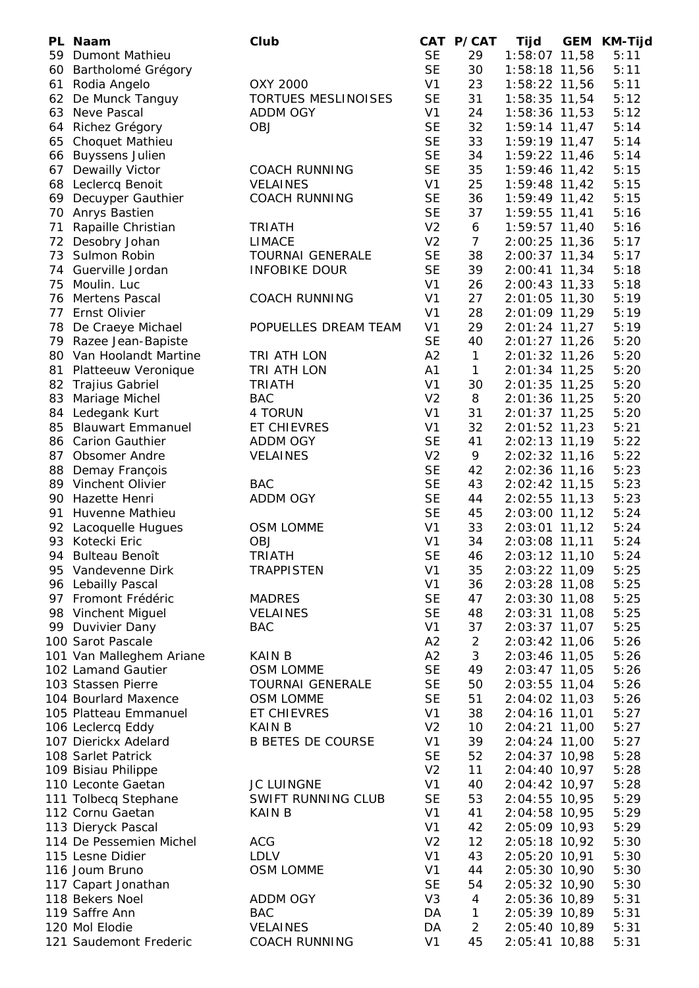|    | PL Naam                  | Club                       |                | CAT P/CAT      | Tijd            | GEM | KM-Tijd |
|----|--------------------------|----------------------------|----------------|----------------|-----------------|-----|---------|
|    | 59 Dumont Mathieu        |                            | <b>SE</b>      | 29             | 1:58:07 11,58   |     | 5:11    |
|    | 60 Bartholomé Grégory    |                            | <b>SE</b>      | 30             | 1:58:18 11,56   |     | 5:11    |
| 61 | Rodia Angelo             | OXY 2000                   | V <sub>1</sub> | 23             | 1:58:22 11,56   |     | 5:11    |
| 62 | De Munck Tanguy          | <b>TORTUES MESLINOISES</b> | <b>SE</b>      | 31             | 1:58:35 11,54   |     | 5:12    |
|    | 63 Neve Pascal           | <b>ADDM OGY</b>            | V <sub>1</sub> | 24             | 1:58:36 11,53   |     | 5:12    |
|    | 64 Richez Grégory        | <b>OBJ</b>                 | <b>SE</b>      | 32             | $1:59:14$ 11,47 |     | 5:14    |
| 65 | <b>Choquet Mathieu</b>   |                            | <b>SE</b>      | 33             | 1:59:19 11,47   |     | 5:14    |
| 66 | <b>Buyssens Julien</b>   |                            | <b>SE</b>      | 34             | 1:59:22 11,46   |     | 5:14    |
| 67 | Dewailly Victor          | <b>COACH RUNNING</b>       | <b>SE</b>      | 35             | 1:59:46 11,42   |     | 5:15    |
|    | 68 Leclercq Benoit       | <b>VELAINES</b>            | V <sub>1</sub> | 25             | 1:59:48 11,42   |     | 5:15    |
| 69 | Decuyper Gauthier        | <b>COACH RUNNING</b>       | <b>SE</b>      | 36             | 1:59:49 11,42   |     | 5:15    |
| 70 | Anrys Bastien            |                            | <b>SE</b>      | 37             | $1:59:55$ 11,41 |     | 5:16    |
| 71 | Rapaille Christian       | <b>TRIATH</b>              | V <sub>2</sub> | 6              | 1:59:57 11,40   |     | 5:16    |
| 72 | Desobry Johan            | <b>LIMACE</b>              | V <sub>2</sub> | $\overline{7}$ | 2:00:25 11,36   |     | 5:17    |
| 73 | Sulmon Robin             | <b>TOURNAI GENERALE</b>    | <b>SE</b>      | 38             | 2:00:37 11,34   |     | 5:17    |
|    | 74 Guerville Jordan      | <b>INFOBIKE DOUR</b>       | <b>SE</b>      | 39             | 2:00:41 11,34   |     | 5:18    |
| 75 | Moulin. Luc              |                            | V <sub>1</sub> | 26             | 2:00:43 11,33   |     | 5:18    |
| 76 | <b>Mertens Pascal</b>    | <b>COACH RUNNING</b>       | V <sub>1</sub> | 27             | 2:01:05 11,30   |     | 5:19    |
| 77 | Ernst Olivier            |                            | V <sub>1</sub> | 28             | 2:01:09 11,29   |     | 5:19    |
| 78 | De Craeye Michael        | POPUELLES DREAM TEAM       | V <sub>1</sub> | 29             | $2:01:24$ 11,27 |     | 5:19    |
|    | 79 Razee Jean-Bapiste    |                            | <b>SE</b>      | 40             | $2:01:27$ 11,26 |     | 5:20    |
|    | 80 Van Hoolandt Martine  | TRI ATH LON                | A2             | $\mathbf{1}$   | 2:01:32 11,26   |     | 5:20    |
| 81 | Platteeuw Veronique      | TRI ATH LON                | A1             | $\mathbf{1}$   | 2:01:34 11,25   |     | 5:20    |
| 82 | Trajius Gabriel          | <b>TRIATH</b>              | V <sub>1</sub> | 30             | $2:01:35$ 11,25 |     | 5:20    |
| 83 | Mariage Michel           | <b>BAC</b>                 | V <sub>2</sub> | 8              | 2:01:36 11,25   |     | 5:20    |
| 84 | Ledegank Kurt            | 4 TORUN                    | V <sub>1</sub> | 31             | 2:01:37 11,25   |     | 5:20    |
| 85 | <b>Blauwart Emmanuel</b> | <b>ET CHIEVRES</b>         | V <sub>1</sub> | 32             | 2:01:52 11,23   |     | 5:21    |
|    | 86 Carion Gauthier       | ADDM OGY                   | <b>SE</b>      | 41             | 2:02:13 11,19   |     | 5:22    |
| 87 | <b>Obsomer Andre</b>     | <b>VELAINES</b>            | V <sub>2</sub> | 9              | 2:02:32 11,16   |     | 5:22    |
|    | 88 Demay François        |                            | <b>SE</b>      | 42             | 2:02:36 11,16   |     | 5:23    |
|    | 89 Vinchent Olivier      | <b>BAC</b>                 | <b>SE</b>      | 43             | 2:02:42 11,15   |     | 5:23    |
|    | 90 Hazette Henri         | <b>ADDM OGY</b>            | <b>SE</b>      | 44             | 2:02:55 11,13   |     | 5:23    |
| 91 | Huvenne Mathieu          |                            | <b>SE</b>      | 45             | 2:03:00 11,12   |     | 5:24    |
|    | 92 Lacoquelle Hugues     | OSM LOMME                  | V <sub>1</sub> | 33             | 2:03:01 11,12   |     | 5:24    |
| 93 | Kotecki Eric             | <b>OBJ</b>                 | V <sub>1</sub> | 34             | 2:03:08 11,11   |     | 5:24    |
| 94 | <b>Bulteau Benoît</b>    | <b>TRIATH</b>              | <b>SE</b>      | 46             | 2:03:12 11,10   |     | 5:24    |
|    | 95 Vandevenne Dirk       | <b>TRAPPISTEN</b>          | V <sub>1</sub> | 35             | 2:03:22 11,09   |     | 5:25    |
|    | 96 Lebailly Pascal       |                            | V <sub>1</sub> | 36             | 2:03:28 11,08   |     | 5:25    |
|    | 97 Fromont Frédéric      | <b>MADRES</b>              | <b>SE</b>      | 47             | 2:03:30 11,08   |     | 5:25    |
|    | 98 Vinchent Miguel       | <b>VELAINES</b>            | <b>SE</b>      | 48             | 2:03:31 11,08   |     | 5:25    |
|    | 99 Duvivier Dany         | <b>BAC</b>                 | V <sub>1</sub> | 37             | 2:03:37 11,07   |     | 5:25    |
|    | 100 Sarot Pascale        |                            | A2             | $\overline{2}$ | 2:03:42 11,06   |     | 5:26    |
|    | 101 Van Malleghem Ariane | <b>KAIN B</b>              | A2             | 3              | 2:03:46 11,05   |     | 5:26    |
|    | 102 Lamand Gautier       | OSM LOMME                  | <b>SE</b>      | 49             | 2:03:47 11,05   |     | 5:26    |
|    | 103 Stassen Pierre       | <b>TOURNAI GENERALE</b>    | <b>SE</b>      | 50             | 2:03:55 11,04   |     | 5:26    |
|    | 104 Bourlard Maxence     | OSM LOMME                  | <b>SE</b>      | 51             | 2:04:02 11,03   |     | 5:26    |
|    | 105 Platteau Emmanuel    | ET CHIEVRES                | V <sub>1</sub> | 38             | 2:04:16 11,01   |     | 5:27    |
|    | 106 Leclercq Eddy        | KAIN B                     | V <sub>2</sub> | 10             | 2:04:21 11,00   |     | 5:27    |
|    | 107 Dierickx Adelard     | <b>B BETES DE COURSE</b>   | V <sub>1</sub> | 39             | 2:04:24 11,00   |     | 5:27    |
|    | 108 Sarlet Patrick       |                            | <b>SE</b>      | 52             | 2:04:37 10,98   |     | 5:28    |
|    | 109 Bisiau Philippe      |                            | V <sub>2</sub> | 11             | 2:04:40 10,97   |     | 5:28    |
|    | 110 Leconte Gaetan       | <b>JC LUINGNE</b>          | V <sub>1</sub> | 40             | 2:04:42 10,97   |     | 5:28    |
|    | 111 Tolbecq Stephane     | SWIFT RUNNING CLUB         | <b>SE</b>      | 53             | 2:04:55 10,95   |     | 5:29    |
|    | 112 Cornu Gaetan         | <b>KAIN B</b>              | V <sub>1</sub> | 41             | 2:04:58 10,95   |     | 5:29    |
|    | 113 Dieryck Pascal       |                            | V <sub>1</sub> | 42             | 2:05:09 10,93   |     | 5:29    |
|    | 114 De Pessemien Michel  | <b>ACG</b>                 | V <sub>2</sub> | 12             | 2:05:18 10,92   |     | 5:30    |
|    | 115 Lesne Didier         | <b>LDLV</b>                | V <sub>1</sub> | 43             | 2:05:20 10,91   |     | 5:30    |
|    | 116 Joum Bruno           | OSM LOMME                  | V <sub>1</sub> | 44             | 2:05:30 10,90   |     | 5:30    |
|    | 117 Capart Jonathan      |                            | <b>SE</b>      | 54             | 2:05:32 10,90   |     | 5:30    |
|    | 118 Bekers Noel          | ADDM OGY                   | V <sub>3</sub> | 4              | 2:05:36 10,89   |     | 5:31    |
|    | 119 Saffre Ann           | <b>BAC</b>                 | DA             | $\mathbf{1}$   | 2:05:39 10,89   |     | 5:31    |
|    | 120 Mol Elodie           | <b>VELAINES</b>            | DA             | $\overline{2}$ | 2:05:40 10,89   |     | 5:31    |
|    | 121 Saudemont Frederic   | <b>COACH RUNNING</b>       | V <sub>1</sub> | 45             | 2:05:41 10,88   |     | 5:31    |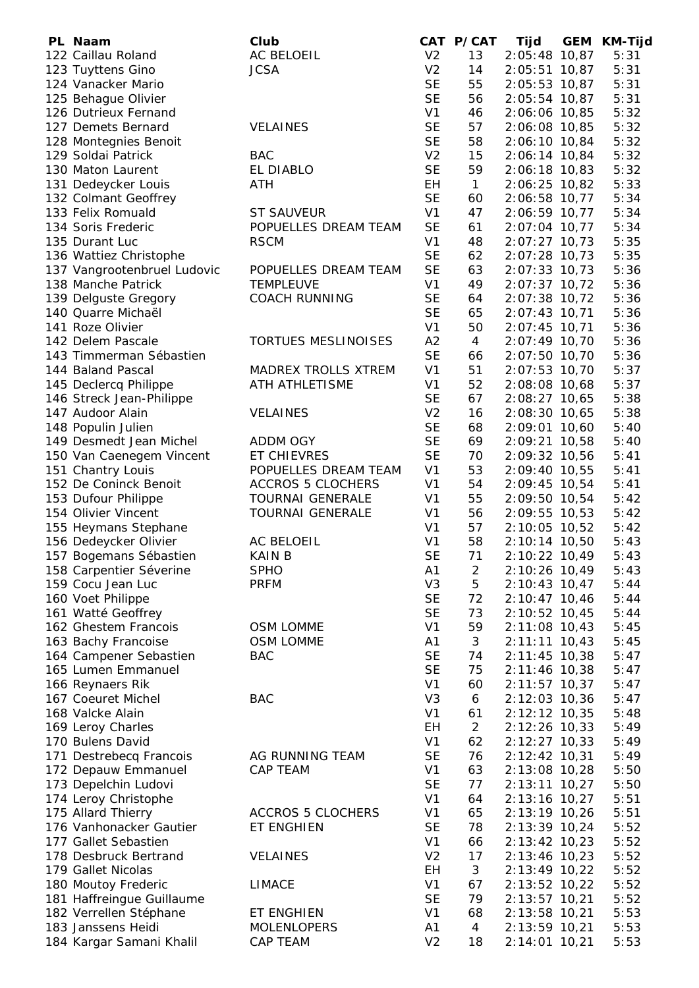| PL Naam                     | Club                       |                | CAT P/CAT      | Tijd            | <b>GEM</b> | KM-Tijd |
|-----------------------------|----------------------------|----------------|----------------|-----------------|------------|---------|
| 122 Caillau Roland          | <b>AC BELOEIL</b>          | V <sub>2</sub> | 13             | 2:05:48 10,87   |            | 5:31    |
| 123 Tuyttens Gino           | <b>JCSA</b>                | V <sub>2</sub> | 14             | 2:05:51 10,87   |            | 5:31    |
| 124 Vanacker Mario          |                            | <b>SE</b>      | 55             | 2:05:53 10,87   |            | 5:31    |
| 125 Behague Olivier         |                            | <b>SE</b>      | 56             | 2:05:54 10,87   |            | 5:31    |
| 126 Dutrieux Fernand        |                            | V <sub>1</sub> | 46             | 2:06:06 10,85   |            | 5:32    |
| 127 Demets Bernard          | <b>VELAINES</b>            | <b>SE</b>      | 57             | 2:06:08 10,85   |            | 5:32    |
| 128 Montegnies Benoit       |                            | <b>SE</b>      | 58             | 2:06:10 10,84   |            | 5:32    |
| 129 Soldai Patrick          | <b>BAC</b>                 | V <sub>2</sub> | 15             | 2:06:14 10,84   |            | 5:32    |
| 130 Maton Laurent           | EL DIABLO                  | <b>SE</b>      | 59             | $2:06:18$ 10,83 |            | 5:32    |
| 131 Dedeycker Louis         | ATH                        | EH             | $\mathbf{1}$   | 2:06:25 10,82   |            | 5:33    |
| 132 Colmant Geoffrey        |                            | <b>SE</b>      | 60             | 2:06:58 10,77   |            | 5:34    |
| 133 Felix Romuald           | <b>ST SAUVEUR</b>          | V <sub>1</sub> | 47             | 2:06:59 10,77   |            | 5:34    |
| 134 Soris Frederic          | POPUELLES DREAM TEAM       | <b>SE</b>      | 61             | 2:07:04 10,77   |            | 5:34    |
| 135 Durant Luc              | <b>RSCM</b>                | V <sub>1</sub> | 48             | 2:07:27 10,73   |            | 5:35    |
| 136 Wattiez Christophe      |                            | <b>SE</b>      | 62             | 2:07:28 10,73   |            | 5:35    |
| 137 Vangrootenbruel Ludovic | POPUELLES DREAM TEAM       | <b>SE</b>      | 63             | $2:07:33$ 10,73 |            | 5:36    |
| 138 Manche Patrick          | <b>TEMPLEUVE</b>           | V <sub>1</sub> | 49             | $2:07:37$ 10,72 |            | 5:36    |
| 139 Delguste Gregory        | <b>COACH RUNNING</b>       | <b>SE</b>      | 64             | 2:07:38 10,72   |            | 5:36    |
| 140 Quarre Michaël          |                            | <b>SE</b>      | 65             | 2:07:43 10,71   |            | 5:36    |
| 141 Roze Olivier            |                            | V <sub>1</sub> | 50             | 2:07:45 10,71   |            | 5:36    |
| 142 Delem Pascale           | <b>TORTUES MESLINOISES</b> | A2             |                | 2:07:49 10,70   |            | 5:36    |
|                             |                            | <b>SE</b>      | 4              | 2:07:50 10,70   |            | 5:36    |
| 143 Timmerman Sébastien     |                            |                | 66             |                 |            |         |
| 144 Baland Pascal           | <b>MADREX TROLLS XTREM</b> | V <sub>1</sub> | 51             | 2:07:53 10,70   |            | 5:37    |
| 145 Declercq Philippe       | ATH ATHLETISME             | V <sub>1</sub> | 52             | 2:08:08 10,68   |            | 5:37    |
| 146 Streck Jean-Philippe    |                            | <b>SE</b>      | 67             | 2:08:27 10,65   |            | 5:38    |
| 147 Audoor Alain            | <b>VELAINES</b>            | V <sub>2</sub> | 16             | 2:08:30 10,65   |            | 5:38    |
| 148 Populin Julien          |                            | <b>SE</b>      | 68             | 2:09:01 10,60   |            | 5:40    |
| 149 Desmedt Jean Michel     | <b>ADDM OGY</b>            | <b>SE</b>      | 69             | 2:09:21 10,58   |            | 5:40    |
| 150 Van Caenegem Vincent    | ET CHIEVRES                | <b>SE</b>      | 70             | 2:09:32 10,56   |            | 5:41    |
| 151 Chantry Louis           | POPUELLES DREAM TEAM       | V <sub>1</sub> | 53             | 2:09:40 10,55   |            | 5:41    |
| 152 De Coninck Benoit       | <b>ACCROS 5 CLOCHERS</b>   | V <sub>1</sub> | 54             | 2:09:45 10,54   |            | 5:41    |
| 153 Dufour Philippe         | <b>TOURNAI GENERALE</b>    | V <sub>1</sub> | 55             | 2:09:50 10,54   |            | 5:42    |
| 154 Olivier Vincent         | <b>TOURNAI GENERALE</b>    | V <sub>1</sub> | 56             | 2:09:55 10,53   |            | 5:42    |
| 155 Heymans Stephane        |                            | V <sub>1</sub> | 57             | 2:10:05 10,52   |            | 5:42    |
| 156 Dedeycker Olivier       | AC BELOEIL                 | V <sub>1</sub> | 58             | 2:10:14 10,50   |            | 5:43    |
| 157 Bogemans Sébastien      | <b>KAIN B</b>              | <b>SE</b>      | 71             | 2:10:22 10,49   |            | 5:43    |
| 158 Carpentier Séverine     | <b>SPHO</b>                | A1             | $\overline{2}$ | 2:10:26 10,49   |            | 5:43    |
| 159 Cocu Jean Luc           | <b>PRFM</b>                | V3             | 5              | 2:10:43 10,47   |            | 5:44    |
| 160 Voet Philippe           |                            | <b>SE</b>      | 72             | 2:10:47 10,46   |            | 5:44    |
| 161 Watté Geoffrey          |                            | <b>SE</b>      | 73             | 2:10:52 10,45   |            | 5:44    |
| 162 Ghestem Francois        | <b>OSM LOMME</b>           | V <sub>1</sub> | 59             | 2:11:08 10,43   |            | 5:45    |
| 163 Bachy Francoise         | <b>OSM LOMME</b>           | A1             | 3              | $2:11:11$ 10,43 |            | 5:45    |
| 164 Campener Sebastien      | <b>BAC</b>                 | <b>SE</b>      | 74             | $2:11:45$ 10,38 |            | 5:47    |
| 165 Lumen Emmanuel          |                            | <b>SE</b>      | 75             | 2:11:46 10,38   |            | 5:47    |
| 166 Reynaers Rik            |                            | V <sub>1</sub> | 60             | $2:11:57$ 10,37 |            | 5:47    |
| 167 Coeuret Michel          | <b>BAC</b>                 | V <sub>3</sub> | 6              | $2:12:03$ 10,36 |            | 5:47    |
| 168 Valcke Alain            |                            | V <sub>1</sub> | 61             | 2:12:12 10,35   |            | 5:48    |
| 169 Leroy Charles           |                            | EH             | $\overline{2}$ | 2:12:26 10,33   |            | 5:49    |
| 170 Bulens David            |                            | V <sub>1</sub> | 62             | $2:12:27$ 10,33 |            | 5:49    |
| 171 Destrebecq Francois     | AG RUNNING TEAM            | <b>SE</b>      | 76             | 2:12:42 10,31   |            | 5:49    |
| 172 Depauw Emmanuel         | <b>CAP TEAM</b>            | V <sub>1</sub> | 63             | 2:13:08 10,28   |            | 5:50    |
| 173 Depelchin Ludovi        |                            | <b>SE</b>      | 77             | $2:13:11$ 10,27 |            | 5:50    |
| 174 Leroy Christophe        |                            | V <sub>1</sub> | 64             | 2:13:16 10,27   |            | 5:51    |
| 175 Allard Thierry          | <b>ACCROS 5 CLOCHERS</b>   | V <sub>1</sub> | 65             | 2:13:19 10,26   |            | 5:51    |
| 176 Vanhonacker Gautier     | <b>ET ENGHIEN</b>          | <b>SE</b>      | 78             | 2:13:39 10,24   |            | 5:52    |
| 177 Gallet Sebastien        |                            | V <sub>1</sub> | 66             | $2:13:42$ 10,23 |            | 5:52    |
| 178 Desbruck Bertrand       | <b>VELAINES</b>            | V <sub>2</sub> | 17             | 2:13:46 10,23   |            | 5:52    |
| 179 Gallet Nicolas          |                            | EH             | 3              | 2:13:49 10,22   |            | 5:52    |
| 180 Moutoy Frederic         | <b>LIMACE</b>              | V <sub>1</sub> | 67             | 2:13:52 10,22   |            | 5:52    |
| 181 Haffreingue Guillaume   |                            | <b>SE</b>      | 79             | 2:13:57 10,21   |            | 5:52    |
| 182 Verrellen Stéphane      | <b>ET ENGHIEN</b>          | V <sub>1</sub> | 68             | 2:13:58 10,21   |            | 5:53    |
| 183 Janssens Heidi          | <b>MOLENLOPERS</b>         | A <sub>1</sub> | $\overline{4}$ | 2:13:59 10,21   |            | 5:53    |
| 184 Kargar Samani Khalil    | CAP TEAM                   | V <sub>2</sub> | 18             | 2:14:01 10,21   |            | 5:53    |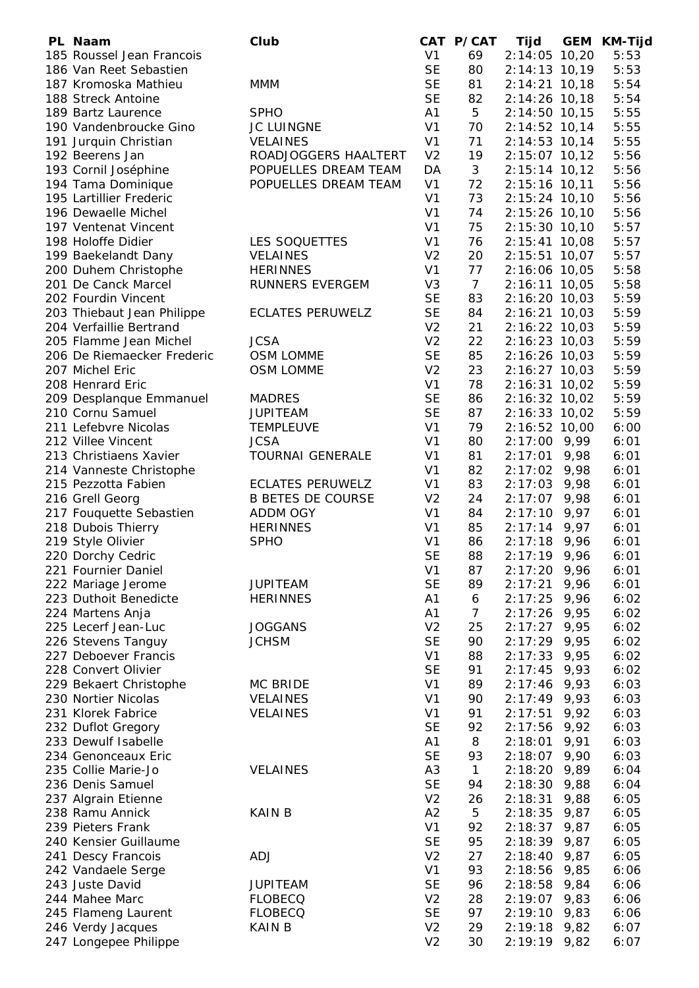| PL Naam                    | Club                     |                | CAT P/CAT      | Tijd            |      | GEM KM-Tijd |
|----------------------------|--------------------------|----------------|----------------|-----------------|------|-------------|
| 185 Roussel Jean Francois  |                          | V <sub>1</sub> | 69             | 2:14:05 10,20   |      | 5:53        |
| 186 Van Reet Sebastien     |                          | <b>SE</b>      | 80             | 2:14:13 10,19   |      | 5:53        |
| 187 Kromoska Mathieu       | <b>MMM</b>               | <b>SE</b>      | 81             | $2:14:21$ 10,18 |      | 5:54        |
| 188 Streck Antoine         |                          | <b>SE</b>      | 82             | $2:14:26$ 10,18 |      | 5:54        |
| 189 Bartz Laurence         | <b>SPHO</b>              | A1             | 5              | $2:14:50$ 10,15 |      | 5:55        |
| 190 Vandenbroucke Gino     | <b>JC LUINGNE</b>        | V <sub>1</sub> | 70             | $2:14:52$ 10,14 |      | 5:55        |
| 191 Jurquin Christian      | <b>VELAINES</b>          | V <sub>1</sub> | 71             | 2:14:53 10,14   |      | 5:55        |
| 192 Beerens Jan            | ROADJOGGERS HAALTERT     | V <sub>2</sub> | 19             | 2:15:07 10,12   |      | 5:56        |
|                            |                          |                |                |                 |      | 5:56        |
| 193 Cornil Joséphine       | POPUELLES DREAM TEAM     | DA             | 3              | $2:15:14$ 10,12 |      |             |
| 194 Tama Dominique         | POPUELLES DREAM TEAM     | V <sub>1</sub> | 72             | 2:15:16 10,11   |      | 5:56        |
| 195 Lartillier Frederic    |                          | V <sub>1</sub> | 73             | 2:15:24 10,10   |      | 5:56        |
| 196 Dewaelle Michel        |                          | V <sub>1</sub> | 74             | 2:15:26 10,10   |      | 5:56        |
| 197 Ventenat Vincent       |                          | V <sub>1</sub> | 75             | $2:15:30$ 10,10 |      | 5:57        |
| 198 Holoffe Didier         | LES SOQUETTES            | V <sub>1</sub> | 76             | $2:15:41$ 10,08 |      | 5:57        |
| 199 Baekelandt Dany        | <b>VELAINES</b>          | V <sub>2</sub> | 20             | 2:15:51 10,07   |      | 5:57        |
| 200 Duhem Christophe       | <b>HERINNES</b>          | V <sub>1</sub> | 77             | 2:16:06 10,05   |      | 5:58        |
| 201 De Canck Marcel        | <b>RUNNERS EVERGEM</b>   | V <sub>3</sub> | $\overline{7}$ | $2:16:11$ 10,05 |      | 5:58        |
| 202 Fourdin Vincent        |                          | <b>SE</b>      | 83             | $2:16:20$ 10,03 |      | 5:59        |
| 203 Thiebaut Jean Philippe | <b>ECLATES PERUWELZ</b>  | <b>SE</b>      | 84             | $2:16:21$ 10,03 |      | 5:59        |
| 204 Verfaillie Bertrand    |                          | V <sub>2</sub> | 21             | 2:16:22 10,03   |      | 5:59        |
| 205 Flamme Jean Michel     | <b>JCSA</b>              | V <sub>2</sub> | 22             | 2:16:23 10,03   |      | 5:59        |
| 206 De Riemaecker Frederic | <b>OSM LOMME</b>         | <b>SE</b>      | 85             | 2:16:26 10,03   |      | 5:59        |
|                            |                          |                |                |                 |      |             |
| 207 Michel Eric            | OSM LOMME                | V <sub>2</sub> | 23             | $2:16:27$ 10,03 |      | 5:59        |
| 208 Henrard Eric           |                          | V <sub>1</sub> | 78             | 2:16:31 10,02   |      | 5:59        |
| 209 Desplanque Emmanuel    | <b>MADRES</b>            | <b>SE</b>      | 86             | 2:16:32 10,02   |      | 5:59        |
| 210 Cornu Samuel           | <b>JUPITEAM</b>          | <b>SE</b>      | 87             | 2:16:33 10,02   |      | 5:59        |
| 211 Lefebvre Nicolas       | <b>TEMPLEUVE</b>         | V <sub>1</sub> | 79             | 2:16:52 10,00   |      | 6:00        |
| 212 Villee Vincent         | <b>JCSA</b>              | V <sub>1</sub> | 80             | $2:17:00$ 9,99  |      | 6:01        |
| 213 Christiaens Xavier     | <b>TOURNAI GENERALE</b>  | V <sub>1</sub> | 81             | $2:17:01$ 9,98  |      | 6:01        |
| 214 Vanneste Christophe    |                          | V <sub>1</sub> | 82             | 2:17:02 9,98    |      | 6:01        |
| 215 Pezzotta Fabien        | <b>ECLATES PERUWELZ</b>  | V <sub>1</sub> | 83             | $2:17:03$ 9,98  |      | 6:01        |
| 216 Grell Georg            | <b>B BETES DE COURSE</b> | V <sub>2</sub> | 24             | $2:17:07$ 9,98  |      | 6:01        |
| 217 Fouquette Sebastien    | ADDM OGY                 | V <sub>1</sub> | 84             | $2:17:10$ 9,97  |      | 6:01        |
| 218 Dubois Thierry         | <b>HERINNES</b>          | V <sub>1</sub> | 85             | $2:17:14$ 9,97  |      | 6:01        |
|                            |                          |                |                |                 |      |             |
| 219 Style Olivier          | <b>SPHO</b>              | V <sub>1</sub> | 86             | $2:17:18$ 9,96  |      | 6:01        |
| 220 Dorchy Cedric          |                          | <b>SE</b>      | 88             | $2:17:19$ 9,96  |      | 6:01        |
| 221 Fournier Daniel        |                          | V <sub>1</sub> | 87             | 2:17:20         | 9,96 | 6:01        |
| 222 Mariage Jerome         | <b>JUPITEAM</b>          | <b>SE</b>      | 89             | 2:17:21         | 9,96 | 6:01        |
| 223 Duthoit Benedicte      | <b>HERINNES</b>          | A <sub>1</sub> | 6              | 2:17:25         | 9,96 | 6:02        |
| 224 Martens Anja           |                          | A <sub>1</sub> | $\overline{7}$ | 2:17:26         | 9,95 | 6:02        |
| 225 Lecerf Jean-Luc        | <b>JOGGANS</b>           | V <sub>2</sub> | 25             | 2:17:27         | 9,95 | 6:02        |
| 226 Stevens Tanguy         | <b>JCHSM</b>             | <b>SE</b>      | 90             | 2:17:29         | 9,95 | 6:02        |
| 227 Deboever Francis       |                          | V <sub>1</sub> | 88             | 2:17:33         | 9,95 | 6:02        |
| 228 Convert Olivier        |                          | <b>SE</b>      | 91             | 2:17:45         | 9,93 | 6:02        |
| 229 Bekaert Christophe     | MC BRIDE                 | V <sub>1</sub> | 89             | 2:17:46         | 9,93 | 6:03        |
| 230 Nortier Nicolas        | <b>VELAINES</b>          | V <sub>1</sub> | 90             | 2:17:49         | 9,93 | 6:03        |
| 231 Klorek Fabrice         | <b>VELAINES</b>          | V <sub>1</sub> | 91             | 2:17:51         | 9,92 | 6:03        |
| 232 Duflot Gregory         |                          | <b>SE</b>      | 92             | 2:17:56         | 9,92 | 6:03        |
|                            |                          |                |                |                 |      |             |
| 233 Dewulf Isabelle        |                          | A <sub>1</sub> | 8              | 2:18:01         | 9,91 | 6:03        |
| 234 Genonceaux Eric        |                          | <b>SE</b>      | 93             | 2:18:07         | 9,90 | 6:03        |
| 235 Collie Marie-Jo        | <b>VELAINES</b>          | A <sub>3</sub> | $\mathbf{1}$   | 2:18:20         | 9,89 | 6:04        |
| 236 Denis Samuel           |                          | <b>SE</b>      | 94             | 2:18:30         | 9,88 | 6:04        |
| 237 Algrain Etienne        |                          | V <sub>2</sub> | 26             | 2:18:31         | 9,88 | 6:05        |
| 238 Ramu Annick            | <b>KAIN B</b>            | A2             | 5              | 2:18:35         | 9,87 | 6:05        |
| 239 Pieters Frank          |                          | V <sub>1</sub> | 92             | 2:18:37         | 9,87 | 6:05        |
| 240 Kensier Guillaume      |                          | <b>SE</b>      | 95             | 2:18:39         | 9,87 | 6:05        |
| 241 Descy Francois         | <b>ADJ</b>               | V <sub>2</sub> | 27             | 2:18:40         | 9,87 | 6:05        |
| 242 Vandaele Serge         |                          | V <sub>1</sub> | 93             | 2:18:56         | 9,85 | 6:06        |
| 243 Juste David            | <b>JUPITEAM</b>          | <b>SE</b>      | 96             | 2:18:58 9,84    |      | 6:06        |
| 244 Mahee Marc             | <b>FLOBECQ</b>           | V <sub>2</sub> | 28             | 2:19:07 9,83    |      | 6:06        |
|                            | <b>FLOBECQ</b>           | <b>SE</b>      | 97             | $2:19:10$ 9,83  |      | 6:06        |
| 245 Flameng Laurent        |                          |                |                |                 |      |             |
| 246 Verdy Jacques          | <b>KAIN B</b>            | V <sub>2</sub> | 29             | $2:19:18$ 9,82  |      | 6:07        |
| 247 Longepee Philippe      |                          | V <sub>2</sub> | 30             | 2:19:19 9,82    |      | 6:07        |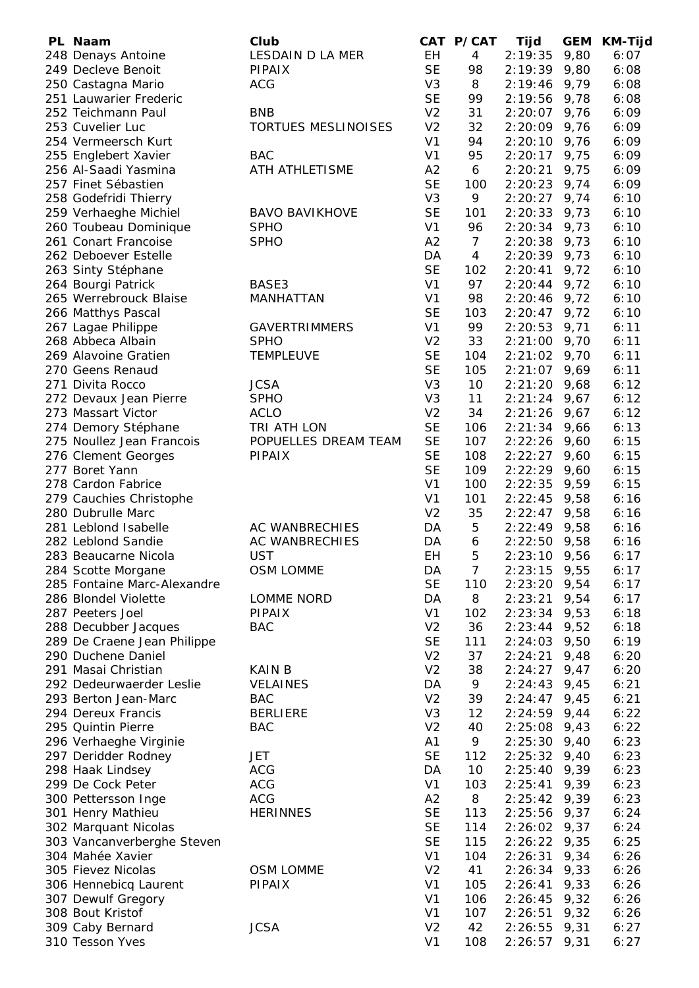| PL Naam                     | Club                       |                | CAT P/CAT      | Tijd           | <b>GEM</b> | <b>KM-Tijd</b> |
|-----------------------------|----------------------------|----------------|----------------|----------------|------------|----------------|
| 248 Denays Antoine          | LESDAIN D LA MER           | <b>EH</b>      | $\overline{4}$ | 2:19:35        | 9,80       | 6:07           |
| 249 Decleve Benoit          | <b>PIPAIX</b>              | <b>SE</b>      | 98             | 2:19:39        | 9,80       | 6:08           |
| 250 Castagna Mario          | <b>ACG</b>                 | V <sub>3</sub> | 8              | 2:19:46        | 9,79       | 6:08           |
| 251 Lauwarier Frederic      |                            | <b>SE</b>      | 99             | 2:19:56        | 9,78       | 6:08           |
| 252 Teichmann Paul          | <b>BNB</b>                 | V <sub>2</sub> | 31             | 2:20:07        | 9,76       | 6:09           |
| 253 Cuvelier Luc            | <b>TORTUES MESLINOISES</b> | V <sub>2</sub> | 32             | 2:20:09        | 9,76       | 6:09           |
| 254 Vermeersch Kurt         |                            | V <sub>1</sub> | 94             | 2:20:10        | 9,76       | 6:09           |
| 255 Englebert Xavier        | <b>BAC</b>                 | V <sub>1</sub> | 95             | 2:20:17        | 9,75       | 6:09           |
| 256 Al-Saadi Yasmina        | ATH ATHLETISME             | A2             | 6              | 2:20:21        | 9,75       | 6:09           |
| 257 Finet Sébastien         |                            | <b>SE</b>      | 100            | 2:20:23        | 9,74       | 6:09           |
| 258 Godefridi Thierry       |                            | V <sub>3</sub> | 9              | 2:20:27        | 9,74       | 6:10           |
| 259 Verhaeghe Michiel       | <b>BAVO BAVIKHOVE</b>      | <b>SE</b>      | 101            | 2:20:33        | 9,73       | 6:10           |
| 260 Toubeau Dominique       | <b>SPHO</b>                | V <sub>1</sub> | 96             | 2:20:34        | 9,73       | 6:10           |
| 261 Conart Francoise        | <b>SPHO</b>                | A2             | $\overline{7}$ | 2:20:38        | 9,73       | 6:10           |
| 262 Deboever Estelle        |                            | DA             | $\overline{4}$ | 2:20:39        | 9,73       | 6:10           |
| 263 Sinty Stéphane          |                            | <b>SE</b>      | 102            | 2:20:41        | 9,72       | 6:10           |
| 264 Bourgi Patrick          | BASE3                      | V <sub>1</sub> | 97             | 2:20:44        | 9,72       | 6:10           |
| 265 Werrebrouck Blaise      | <b>MANHATTAN</b>           | V <sub>1</sub> | 98             | 2:20:46        | 9,72       | 6:10           |
| 266 Matthys Pascal          |                            | <b>SE</b>      | 103            | 2:20:47        | 9,72       | 6:10           |
| 267 Lagae Philippe          | <b>GAVERTRIMMERS</b>       | V <sub>1</sub> | 99             | 2:20:53        | 9,71       | 6:11           |
| 268 Abbeca Albain           | <b>SPHO</b>                | V <sub>2</sub> | 33             | $2:21:00$ 9,70 |            | 6:11           |
| 269 Alavoine Gratien        | <b>TEMPLEUVE</b>           | <b>SE</b>      | 104            | $2:21:02$ 9,70 |            | 6:11           |
| 270 Geens Renaud            |                            | <b>SE</b>      | 105            | $2:21:07$ 9,69 |            | 6:11           |
| 271 Divita Rocco            | <b>JCSA</b>                | V <sub>3</sub> | 10             | $2:21:20$ 9,68 |            | 6:12           |
| 272 Devaux Jean Pierre      | <b>SPHO</b>                | V <sub>3</sub> | 11             | $2:21:24$ 9,67 |            | 6:12           |
| 273 Massart Victor          | <b>ACLO</b>                | V <sub>2</sub> | 34             | 2:21:26        | 9,67       | 6:12           |
| 274 Demory Stéphane         | TRI ATH LON                | <b>SE</b>      | 106            | 2:21:34        | 9,66       | 6:13           |
| 275 Noullez Jean Francois   | POPUELLES DREAM TEAM       | <b>SE</b>      | 107            | 2:22:26        | 9,60       | 6:15           |
| 276 Clement Georges         | <b>PIPAIX</b>              | <b>SE</b>      | 108            | 2:22:27        | 9,60       | 6:15           |
| 277 Boret Yann              |                            | <b>SE</b>      | 109            | 2:22:29        | 9,60       | 6:15           |
| 278 Cardon Fabrice          |                            | V <sub>1</sub> | 100            | 2:22:35        | 9,59       | 6:15           |
| 279 Cauchies Christophe     |                            | V <sub>1</sub> | 101            | 2:22:45        | 9,58       | 6:16           |
| 280 Dubrulle Marc           |                            | V <sub>2</sub> | 35             | 2:22:47        | 9,58       | 6:16           |
| 281 Leblond Isabelle        | AC WANBRECHIES             | DA             | 5              | 2:22:49        | 9,58       | 6:16           |
| 282 Leblond Sandie          | <b>AC WANBRECHIES</b>      | DA             | 6              | 2:22:50        | 9,58       | 6:16           |
| 283 Beaucarne Nicola        | <b>UST</b>                 | EH             | 5              | 2:23:10        | 9,56       | 6:17           |
| 284 Scotte Morgane          | <b>OSM LOMME</b>           | DA             | 7              | 2:23:15        | 9,55       | 6:17           |
| 285 Fontaine Marc-Alexandre |                            | <b>SE</b>      | 110            | 2:23:20        | 9,54       | 6:17           |
| 286 Blondel Violette        | LOMME NORD                 | DA             | 8              | 2:23:21        | 9,54       | 6:17           |
| 287 Peeters Joel            | <b>PIPAIX</b>              | V <sub>1</sub> | 102            | 2:23:34        | 9,53       | 6:18           |
| 288 Decubber Jacques        | <b>BAC</b>                 | V <sub>2</sub> | 36             | 2:23:44        | 9,52       | 6:18           |
| 289 De Craene Jean Philippe |                            | <b>SE</b>      | 111            | 2:24:03        | 9,50       | 6:19           |
| 290 Duchene Daniel          |                            | V <sub>2</sub> | 37             | 2:24:21        | 9,48       | 6:20           |
| 291 Masai Christian         | <b>KAIN B</b>              | V <sub>2</sub> | 38             | 2:24:27        | 9,47       | 6:20           |
| 292 Dedeurwaerder Leslie    | <b>VELAINES</b>            | DA             | 9              | 2:24:43        | 9,45       | 6:21           |
| 293 Berton Jean-Marc        | <b>BAC</b>                 | V <sub>2</sub> | 39             | 2:24:47        | 9,45       | 6:21           |
| 294 Dereux Francis          | <b>BERLIERE</b>            | V <sub>3</sub> | 12             | 2:24:59        | 9,44       | 6:22           |
| 295 Quintin Pierre          | <b>BAC</b>                 | V <sub>2</sub> | 40             | 2:25:08        | 9,43       | 6:22           |
| 296 Verhaeghe Virginie      |                            | A1             | 9              | 2:25:30        | 9,40       | 6:23           |
| 297 Deridder Rodney         | JET                        | <b>SE</b>      | 112            | 2:25:32        | 9,40       | 6:23           |
| 298 Haak Lindsey            | <b>ACG</b>                 | DA             | 10             | 2:25:40        | 9,39       | 6:23           |
| 299 De Cock Peter           | <b>ACG</b>                 | V <sub>1</sub> | 103            | 2:25:41        | 9,39       | 6:23           |
| 300 Pettersson Inge         | <b>ACG</b>                 | A2             | 8              | $2:25:42$ 9,39 |            | 6:23           |
| 301 Henry Mathieu           | <b>HERINNES</b>            | <b>SE</b>      | 113            | $2:25:56$ 9,37 |            | 6:24           |
| 302 Marquant Nicolas        |                            | <b>SE</b>      | 114            | $2:26:02$ 9,37 |            | 6:24           |
| 303 Vancanverberghe Steven  |                            | <b>SE</b>      | 115            | $2:26:22$ 9,35 |            | 6:25           |
| 304 Mahée Xavier            |                            | V <sub>1</sub> | 104            | 2:26:31        | 9,34       | 6:26           |
| 305 Fievez Nicolas          | <b>OSM LOMME</b>           | V <sub>2</sub> | 41             | $2:26:34$ 9,33 |            | 6:26           |
| 306 Hennebicq Laurent       | <b>PIPAIX</b>              | V <sub>1</sub> | 105            | 2:26:41        | 9,33       | 6:26           |
| 307 Dewulf Gregory          |                            | V <sub>1</sub> | 106            | 2:26:45        | 9,32       | 6:26           |
| 308 Bout Kristof            |                            | V <sub>1</sub> | 107            | 2:26:51        | 9,32       | 6:26           |
| 309 Caby Bernard            | <b>JCSA</b>                | V <sub>2</sub> | 42             | 2:26:55        | 9,31       | 6:27           |
| 310 Tesson Yves             |                            | V <sub>1</sub> | 108            | $2:26:57$ 9,31 |            | 6:27           |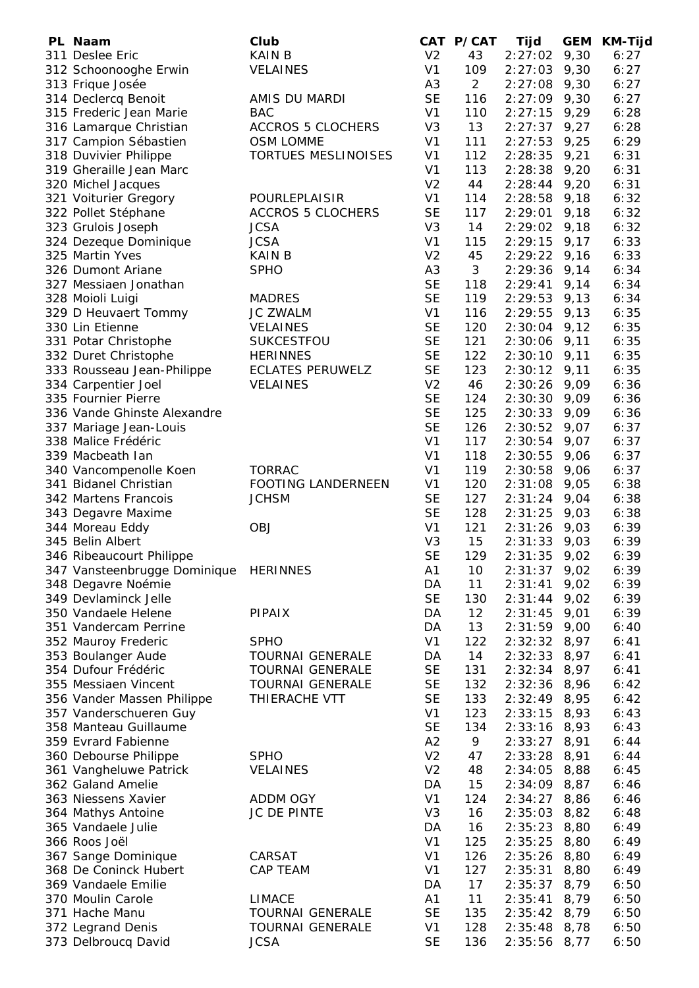| PL Naam                      | Club                      |                | CAT P/CAT      | Tijd           | <b>GEM</b> | KM-Tijd |
|------------------------------|---------------------------|----------------|----------------|----------------|------------|---------|
| 311 Deslee Eric              | <b>KAIN B</b>             | V <sub>2</sub> | 43             | 2:27:02        | 9,30       | 6:27    |
| 312 Schoonooghe Erwin        | <b>VELAINES</b>           | V <sub>1</sub> | 109            | 2:27:03        | 9,30       | 6:27    |
| 313 Frique Josée             |                           | A <sub>3</sub> | $\overline{2}$ | 2:27:08        | 9,30       | 6:27    |
| 314 Declercq Benoit          | AMIS DU MARDI             | <b>SE</b>      | 116            | 2:27:09        | 9,30       | 6:27    |
| 315 Frederic Jean Marie      | <b>BAC</b>                | V <sub>1</sub> | 110            | 2:27:15        | 9,29       | 6:28    |
| 316 Lamarque Christian       | <b>ACCROS 5 CLOCHERS</b>  | V <sub>3</sub> | 13             | 2:27:37        | 9,27       | 6:28    |
| 317 Campion Sébastien        | OSM LOMME                 | V <sub>1</sub> | 111            | 2:27:53        | 9,25       | 6:29    |
|                              | TORTUES MESLINOISES       | V <sub>1</sub> | 112            | 2:28:35        |            | 6:31    |
| 318 Duvivier Philippe        |                           |                |                |                | 9,21       |         |
| 319 Gheraille Jean Marc      |                           | V <sub>1</sub> | 113            | 2:28:38        | 9,20       | 6:31    |
| 320 Michel Jacques           |                           | V <sub>2</sub> | 44             | 2:28:44        | 9,20       | 6:31    |
| 321 Voiturier Gregory        | POURLEPLAISIR             | V <sub>1</sub> | 114            | 2:28:58        | 9,18       | 6:32    |
| 322 Pollet Stéphane          | <b>ACCROS 5 CLOCHERS</b>  | <b>SE</b>      | 117            | 2:29:01        | 9,18       | 6:32    |
| 323 Grulois Joseph           | <b>JCSA</b>               | V <sub>3</sub> | 14             | $2:29:02$ 9,18 |            | 6:32    |
| 324 Dezeque Dominique        | <b>JCSA</b>               | V <sub>1</sub> | 115            | $2:29:15$ 9,17 |            | 6:33    |
| 325 Martin Yves              | <b>KAIN B</b>             | V <sub>2</sub> | 45             | $2:29:22$ 9,16 |            | 6:33    |
| 326 Dumont Ariane            | <b>SPHO</b>               | A3             | 3              | 2:29:36        | 9,14       | 6:34    |
| 327 Messiaen Jonathan        |                           | <b>SE</b>      | 118            | 2:29:41        | 9,14       | 6:34    |
| 328 Moioli Luigi             | <b>MADRES</b>             | <b>SE</b>      | 119            | 2:29:53        | 9,13       | 6:34    |
| 329 D Heuvaert Tommy         | <b>JC ZWALM</b>           | V <sub>1</sub> | 116            | 2:29:55        | 9,13       | 6:35    |
|                              | <b>VELAINES</b>           | <b>SE</b>      | 120            |                |            |         |
| 330 Lin Etienne              |                           |                |                | 2:30:04        | 9,12       | 6:35    |
| 331 Potar Christophe         | <b>SUKCESTFOU</b>         | <b>SE</b>      | 121            | 2:30:06        | 9,11       | 6:35    |
| 332 Duret Christophe         | <b>HERINNES</b>           | <b>SE</b>      | 122            | $2:30:10$ 9,11 |            | 6:35    |
| 333 Rousseau Jean-Philippe   | <b>ECLATES PERUWELZ</b>   | <b>SE</b>      | 123            | $2:30:12$ 9,11 |            | 6:35    |
| 334 Carpentier Joel          | <b>VELAINES</b>           | V <sub>2</sub> | 46             | 2:30:26        | 9,09       | 6:36    |
| 335 Fournier Pierre          |                           | <b>SE</b>      | 124            | 2:30:30        | 9,09       | 6:36    |
| 336 Vande Ghinste Alexandre  |                           | <b>SE</b>      | 125            | 2:30:33        | 9,09       | 6:36    |
| 337 Mariage Jean-Louis       |                           | <b>SE</b>      | 126            | $2:30:52$ 9,07 |            | 6:37    |
| 338 Malice Frédéric          |                           | V <sub>1</sub> | 117            | $2:30:54$ 9,07 |            | 6:37    |
| 339 Macbeath Ian             |                           | V <sub>1</sub> | 118            | 2:30:55        | 9,06       | 6:37    |
| 340 Vancompenolle Koen       | <b>TORRAC</b>             | V <sub>1</sub> | 119            | 2:30:58        | 9,06       | 6:37    |
| 341 Bidanel Christian        | <b>FOOTING LANDERNEEN</b> | V <sub>1</sub> | 120            | 2:31:08        | 9,05       | 6:38    |
|                              |                           |                |                |                |            |         |
| 342 Martens Francois         | <b>JCHSM</b>              | <b>SE</b>      | 127            | $2:31:24$ 9,04 |            | 6:38    |
| 343 Degavre Maxime           |                           | <b>SE</b>      | 128            | 2:31:25        | 9,03       | 6:38    |
| 344 Moreau Eddy              | <b>OBJ</b>                | V <sub>1</sub> | 121            | 2:31:26        | 9,03       | 6:39    |
| 345 Belin Albert             |                           | V <sub>3</sub> | 15             | 2:31:33        | 9,03       | 6:39    |
| 346 Ribeaucourt Philippe     |                           | <b>SE</b>      | 129            | 2:31:35        | 9,02       | 6:39    |
| 347 Vansteenbrugge Dominique | <b>HERINNES</b>           | A1             | 10             | $2:31:37$ 9,02 |            | 6:39    |
| 348 Degavre Noémie           |                           | DA             | 11             | 2:31:41        | 9,02       | 6:39    |
| 349 Devlaminck Jelle         |                           | <b>SE</b>      | 130            | 2:31:44        | 9,02       | 6:39    |
| 350 Vandaele Helene          | <b>PIPAIX</b>             | DA             | 12             | 2:31:45        | 9,01       | 6:39    |
| 351 Vandercam Perrine        |                           | DA             | 13             | 2:31:59        | 9,00       | 6:40    |
| 352 Mauroy Frederic          | <b>SPHO</b>               | V <sub>1</sub> | 122            | 2:32:32        | 8,97       | 6:41    |
| 353 Boulanger Aude           | <b>TOURNAI GENERALE</b>   | DA             | 14             | 2:32:33        | 8,97       | 6:41    |
| 354 Dufour Frédéric          | <b>TOURNAI GENERALE</b>   | <b>SE</b>      | 131            | 2:32:34        | 8,97       | 6:41    |
| 355 Messiaen Vincent         | <b>TOURNAI GENERALE</b>   | <b>SE</b>      | 132            | 2:32:36        | 8,96       | 6:42    |
|                              | THIERACHE VTT             | <b>SE</b>      | 133            | 2:32:49        |            | 6:42    |
| 356 Vander Massen Philippe   |                           |                |                |                | 8,95       |         |
| 357 Vanderschueren Guy       |                           | V <sub>1</sub> | 123            | 2:33:15        | 8,93       | 6:43    |
| 358 Manteau Guillaume        |                           | <b>SE</b>      | 134            | 2:33:16        | 8,93       | 6:43    |
| 359 Evrard Fabienne          |                           | A2             | 9              | 2:33:27        | 8,91       | 6:44    |
| 360 Debourse Philippe        | <b>SPHO</b>               | V <sub>2</sub> | 47             | 2:33:28        | 8,91       | 6:44    |
| 361 Vangheluwe Patrick       | <b>VELAINES</b>           | V <sub>2</sub> | 48             | 2:34:05        | 8,88       | 6:45    |
| 362 Galand Amelie            |                           | DA             | 15             | 2:34:09        | 8,87       | 6:46    |
| 363 Niessens Xavier          | <b>ADDM OGY</b>           | V <sub>1</sub> | 124            | 2:34:27        | 8,86       | 6:46    |
| 364 Mathys Antoine           | JC DE PINTE               | V <sub>3</sub> | 16             | 2:35:03        | 8,82       | 6:48    |
| 365 Vandaele Julie           |                           | DA             | 16             | 2:35:23        | 8,80       | 6:49    |
| 366 Roos Joël                |                           | V <sub>1</sub> | 125            | 2:35:25        | 8,80       | 6:49    |
| 367 Sange Dominique          | CARSAT                    | V <sub>1</sub> | 126            | 2:35:26        | 8,80       | 6:49    |
| 368 De Coninck Hubert        | <b>CAP TEAM</b>           | V <sub>1</sub> | 127            | 2:35:31        | 8,80       | 6:49    |
| 369 Vandaele Emilie          |                           |                | 17             | 2:35:37        | 8,79       | 6:50    |
|                              |                           | DA             |                |                |            |         |
| 370 Moulin Carole            | <b>LIMACE</b>             | A1             | 11             | 2:35:41        | 8,79       | 6:50    |
| 371 Hache Manu               | <b>TOURNAI GENERALE</b>   | <b>SE</b>      | 135            | $2:35:42$ 8,79 |            | 6:50    |
| 372 Legrand Denis            | <b>TOURNAI GENERALE</b>   | V <sub>1</sub> | 128            | $2:35:48$ 8,78 |            | 6:50    |
| 373 Delbroucq David          | <b>JCSA</b>               | <b>SE</b>      | 136            | 2:35:56 8,77   |            | 6:50    |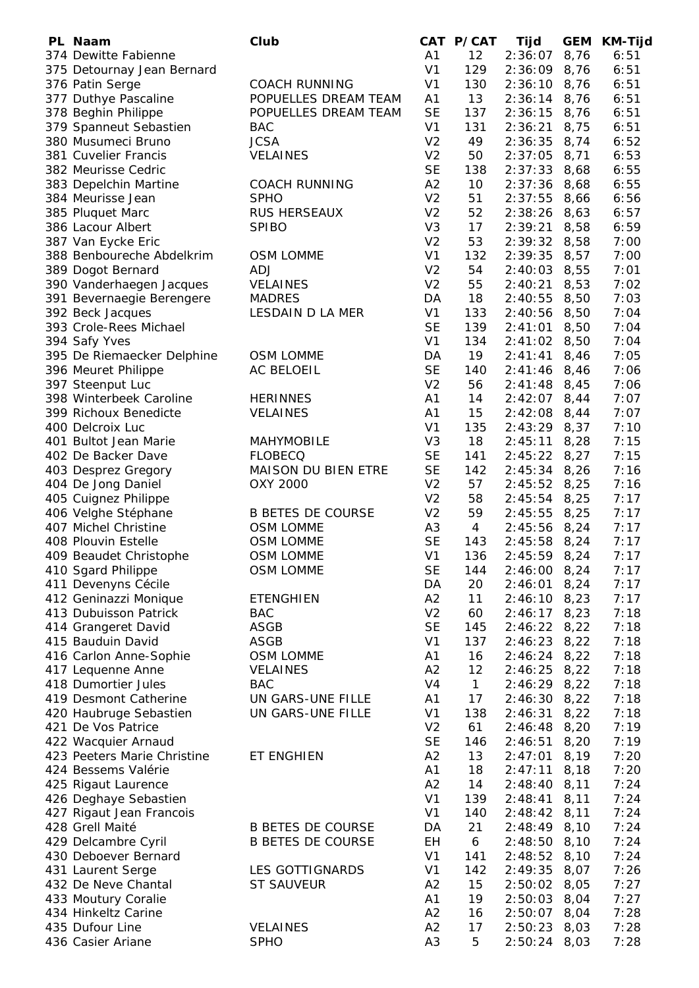| PL Naam                     | Club                     |                | CAT P/CAT      | Tijd           | <b>GEM</b> | <b>KM-Tijd</b> |
|-----------------------------|--------------------------|----------------|----------------|----------------|------------|----------------|
| 374 Dewitte Fabienne        |                          | A1             | 12             | 2:36:07        | 8,76       | 6:51           |
| 375 Detournay Jean Bernard  |                          | V <sub>1</sub> | 129            | 2:36:09        | 8,76       | 6:51           |
| 376 Patin Serge             | <b>COACH RUNNING</b>     | V <sub>1</sub> | 130            | $2:36:10$ 8,76 |            | 6:51           |
| 377 Duthye Pascaline        | POPUELLES DREAM TEAM     | A1             | 13             | $2:36:14$ 8,76 |            | 6:51           |
| 378 Beghin Philippe         | POPUELLES DREAM TEAM     | <b>SE</b>      | 137            | $2:36:15$ 8,76 |            | 6:51           |
| 379 Spanneut Sebastien      | <b>BAC</b>               | V <sub>1</sub> | 131            | 2:36:21        | 8,75       | 6:51           |
| 380 Musumeci Bruno          | <b>JCSA</b>              | V <sub>2</sub> | 49             | $2:36:35$ 8,74 |            | 6:52           |
| 381 Cuvelier Francis        | <b>VELAINES</b>          | V <sub>2</sub> | 50             | 2:37:05        | 8,71       | 6:53           |
| 382 Meurisse Cedric         |                          | <b>SE</b>      | 138            | $2:37:33$ 8,68 |            | 6:55           |
|                             | <b>COACH RUNNING</b>     | A2             | 10             | 2:37:36        | 8,68       | 6:55           |
| 383 Depelchin Martine       | <b>SPHO</b>              | V <sub>2</sub> | 51             |                |            |                |
| 384 Meurisse Jean           |                          |                |                | 2:37:55        | 8,66       | 6:56           |
| 385 Pluquet Marc            | RUS HERSEAUX             | V <sub>2</sub> | 52             | 2:38:26        | 8,63       | 6:57           |
| 386 Lacour Albert           | <b>SPIBO</b>             | V <sub>3</sub> | 17             | 2:39:21        | 8,58       | 6:59           |
| 387 Van Eycke Eric          |                          | V <sub>2</sub> | 53             | 2:39:32        | 8,58       | 7:00           |
| 388 Benboureche Abdelkrim   | <b>OSM LOMME</b>         | V <sub>1</sub> | 132            | 2:39:35        | 8,57       | 7:00           |
| 389 Dogot Bernard           | <b>ADJ</b>               | V <sub>2</sub> | 54             | 2:40:03        | 8,55       | 7:01           |
| 390 Vanderhaegen Jacques    | <b>VELAINES</b>          | V <sub>2</sub> | 55             | 2:40:21        | 8,53       | 7:02           |
| 391 Bevernaegie Berengere   | <b>MADRES</b>            | DA             | 18             | 2:40:55        | 8,50       | 7:03           |
| 392 Beck Jacques            | LESDAIN D LA MER         | V <sub>1</sub> | 133            | 2:40:56        | 8,50       | 7:04           |
| 393 Crole-Rees Michael      |                          | <b>SE</b>      | 139            | 2:41:01        | 8,50       | 7:04           |
| 394 Safy Yves               |                          | V <sub>1</sub> | 134            | 2:41:02        | 8,50       | 7:04           |
| 395 De Riemaecker Delphine  | <b>OSM LOMME</b>         | DA             | 19             | 2:41:41        | 8,46       | 7:05           |
| 396 Meuret Philippe         | <b>AC BELOEIL</b>        | <b>SE</b>      | 140            | 2:41:46        | 8,46       | 7:06           |
| 397 Steenput Luc            |                          | V <sub>2</sub> | 56             | 2:41:48        | 8,45       | 7:06           |
| 398 Winterbeek Caroline     | <b>HERINNES</b>          | A1             | 14             | 2:42:07        | 8,44       | 7:07           |
| 399 Richoux Benedicte       | <b>VELAINES</b>          | A1             | 15             | 2:42:08        | 8,44       | 7:07           |
| 400 Delcroix Luc            |                          | V <sub>1</sub> | 135            | 2:43:29        | 8,37       | 7:10           |
| 401 Bultot Jean Marie       | <b>MAHYMOBILE</b>        | V <sub>3</sub> | 18             | 2:45:11        | 8,28       | 7:15           |
| 402 De Backer Dave          | <b>FLOBECQ</b>           | <b>SE</b>      | 141            | 2:45:22        | 8,27       | 7:15           |
| 403 Desprez Gregory         | MAISON DU BIEN ETRE      | <b>SE</b>      | 142            | $2:45:34$ 8,26 |            | 7:16           |
|                             |                          | V <sub>2</sub> | 57             |                |            | 7:16           |
| 404 De Jong Daniel          | OXY 2000                 | V <sub>2</sub> |                | $2:45:52$ 8,25 |            |                |
| 405 Cuignez Philippe        |                          |                | 58             | $2:45:54$ 8,25 |            | 7:17           |
| 406 Velghe Stéphane         | <b>B BETES DE COURSE</b> | V <sub>2</sub> | 59             | $2:45:55$ 8,25 |            | 7:17           |
| 407 Michel Christine        | <b>OSM LOMME</b>         | A <sub>3</sub> | $\overline{4}$ | $2:45:56$ 8,24 |            | 7:17           |
| 408 Plouvin Estelle         | <b>OSM LOMME</b>         | <b>SE</b>      | 143            | $2:45:58$ 8,24 |            | 7:17           |
| 409 Beaudet Christophe      | <b>OSM LOMME</b>         | V <sub>1</sub> | 136            | $2:45:59$ 8,24 |            | 7:17           |
| 410 Sgard Philippe          | <b>OSM LOMME</b>         | <b>SE</b>      | 144            | $2:46:00$ 8,24 |            | 7:17           |
| 411 Devenyns Cécile         |                          | DA             | 20             | $2:46:01$ 8,24 |            | 7:17           |
| 412 Geninazzi Monique       | <b>ETENGHIEN</b>         | A2             | 11             | $2:46:10$ 8,23 |            | 7:17           |
| 413 Dubuisson Patrick       | <b>BAC</b>               | V <sub>2</sub> | 60             | $2:46:17$ 8,23 |            | 7:18           |
| 414 Grangeret David         | ASGB                     | <b>SE</b>      | 145            | $2:46:22$ 8,22 |            | 7:18           |
| 415 Bauduin David           | ASGB                     | V <sub>1</sub> | 137            | $2:46:23$ 8,22 |            | 7:18           |
| 416 Carlon Anne-Sophie      | OSM LOMME                | A1             | 16             | 2:46:24        | 8,22       | 7:18           |
| 417 Lequenne Anne           | <b>VELAINES</b>          | A2             | 12             | 2:46:25        | 8,22       | 7:18           |
| 418 Dumortier Jules         | <b>BAC</b>               | V <sub>4</sub> | $\mathbf{1}$   | 2:46:29        | 8,22       | 7:18           |
| 419 Desmont Catherine       | UN GARS-UNE FILLE        | A1             | 17             | 2:46:30        | 8,22       | 7:18           |
| 420 Haubruge Sebastien      | UN GARS-UNE FILLE        | V <sub>1</sub> | 138            | 2:46:31        | 8,22       | 7:18           |
| 421 De Vos Patrice          |                          | V <sub>2</sub> | 61             | 2:46:48        | 8,20       | 7:19           |
| 422 Wacquier Arnaud         |                          | <b>SE</b>      | 146            | 2:46:51        | 8,20       | 7:19           |
| 423 Peeters Marie Christine | ET ENGHIEN               | A2             | 13             | 2:47:01        | 8,19       | 7:20           |
| 424 Bessems Valérie         |                          | A1             | 18             | 2:47:11        | 8,18       | 7:20           |
| 425 Rigaut Laurence         |                          | A2             | 14             | 2:48:40        | 8,11       | 7:24           |
|                             |                          | V <sub>1</sub> |                |                |            |                |
| 426 Deghaye Sebastien       |                          |                | 139            | 2:48:41        | 8,11       | 7:24           |
| 427 Rigaut Jean Francois    |                          | V <sub>1</sub> | 140            | 2:48:42        | 8,11       | 7:24           |
| 428 Grell Maité             | <b>B BETES DE COURSE</b> | DA             | 21             | 2:48:49        | 8,10       | 7:24           |
| 429 Delcambre Cyril         | <b>B BETES DE COURSE</b> | EH             | 6              | 2:48:50        | 8,10       | 7:24           |
| 430 Deboever Bernard        |                          | V <sub>1</sub> | 141            | 2:48:52        | 8,10       | 7:24           |
| 431 Laurent Serge           | LES GOTTIGNARDS          | V <sub>1</sub> | 142            | 2:49:35        | 8,07       | 7:26           |
| 432 De Neve Chantal         | <b>ST SAUVEUR</b>        | A2             | 15             | 2:50:02        | 8,05       | 7:27           |
| 433 Moutury Coralie         |                          | A1             | 19             | 2:50:03        | 8,04       | 7:27           |
| 434 Hinkeltz Carine         |                          | A2             | 16             | 2:50:07        | 8,04       | 7:28           |
| 435 Dufour Line             | <b>VELAINES</b>          | A2             | 17             | 2:50:23        | 8,03       | 7:28           |
| 436 Casier Ariane           | <b>SPHO</b>              | A <sub>3</sub> | 5              | 2:50:24        | 8,03       | 7:28           |